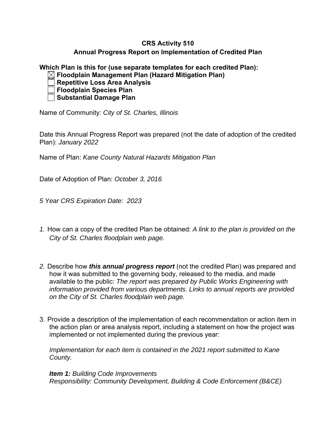## **CRS Activity 510 Annual Progress Report on Implementation of Credited Plan**

**Which Plan is this for (use separate templates for each credited Plan):** 

 **Floodplain Management Plan (Hazard Mitigation Plan)** 

 **Repetitive Loss Area Analysis** 

 **Floodplain Species Plan** 

 **Substantial Damage Plan** 

Name of Community: *City of St. Charles, Illinois*

Date this Annual Progress Report was prepared (not the date of adoption of the credited Plan): *January 2022*

Name of Plan: *Kane County Natural Hazards Mitigation Plan*

Date of Adoption of Plan: *October 3, 2016*

*5 Year CRS Expiration Date: 2023* 

- *1.* How can a copy of the credited Plan be obtained: *A link to the plan is provided on the City of St. Charles floodplain web page.*
- *2.* Describe how *this annual progress report* (not the credited Plan) was prepared and how it was submitted to the governing body, released to the media, and made available to the public: *The report was prepared by Public Works Engineering with information provided from various departments. Links to annual reports are provided on the City of St. Charles floodplain web page.*
- 3. Provide a description of the implementation of each recommendation or action item in the action plan or area analysis report, including a statement on how the project was implemented or not implemented during the previous year:

*Implementation for each item is contained in the 2021 report submitted to Kane County.* 

*Item 1: Building Code Improvements Responsibility: Community Development, Building & Code Enforcement (B&CE)*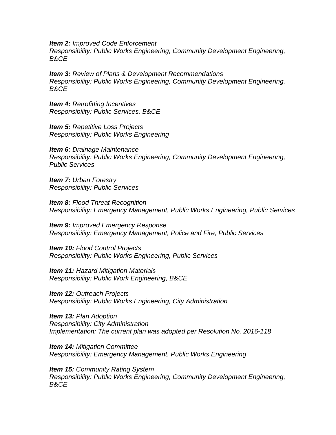*Item 2: Improved Code Enforcement Responsibility: Public Works Engineering, Community Development Engineering, B&CE* 

*Item 3: Review of Plans & Development Recommendations Responsibility: Public Works Engineering, Community Development Engineering, B&CE* 

*Item 4: Retrofitting Incentives Responsibility: Public Services, B&CE* 

*Item 5: Repetitive Loss Projects Responsibility: Public Works Engineering* 

*Item 6: Drainage Maintenance Responsibility: Public Works Engineering, Community Development Engineering, Public Services* 

*Item 7: Urban Forestry Responsibility: Public Services* 

*Item 8: Flood Threat Recognition Responsibility: Emergency Management, Public Works Engineering, Public Services* 

*Item 9: Improved Emergency Response Responsibility: Emergency Management, Police and Fire, Public Services* 

*Item 10: Flood Control Projects Responsibility: Public Works Engineering, Public Services* 

*Item 11: Hazard Mitigation Materials Responsibility: Public Work Engineering, B&CE* 

*Item 12: Outreach Projects Responsibility: Public Works Engineering, City Administration* 

*Item 13: Plan Adoption Responsibility: City Administration Implementation: The current plan was adopted per Resolution No. 2016-118* 

*Item 14: Mitigation Committee Responsibility: Emergency Management, Public Works Engineering* 

*Item 15: Community Rating System Responsibility: Public Works Engineering, Community Development Engineering, B&CE*